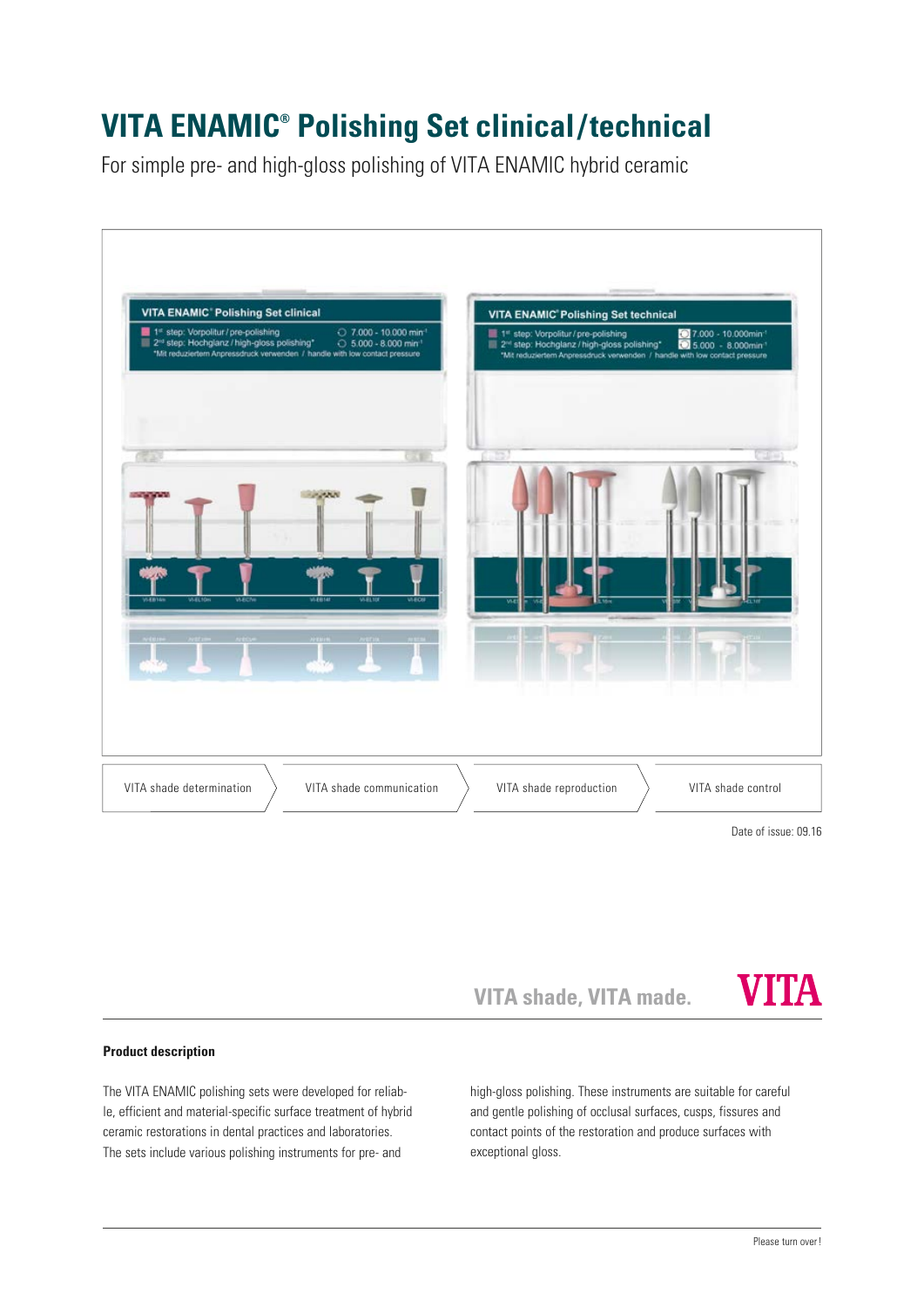# **VITA ENAMIC® Polishing Set clinical/technical**

For simple pre- and high-gloss polishing of VITA ENAMIC hybrid ceramic



**VITA shade, VITA made.**



## **Product description**

The VITA ENAMIC polishing sets were developed for reliable, efficient and material-specific surface treatment of hybrid ceramic restorations in dental practices and laboratories. The sets include various polishing instruments for pre- and

high-gloss polishing. These instruments are suitable for careful and gentle polishing of occlusal surfaces, cusps, fissures and contact points of the restoration and produce surfaces with exceptional gloss.